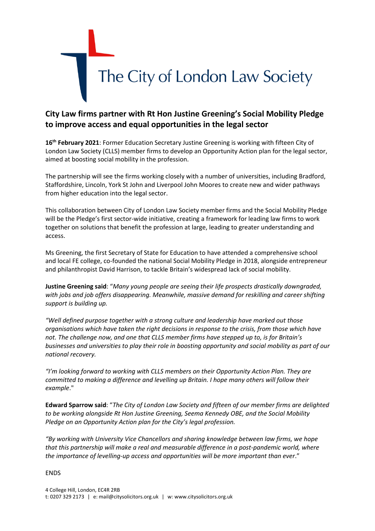

## **City Law firms partner with Rt Hon Justine Greening's Social Mobility Pledge to improve access and equal opportunities in the legal sector**

**16th February 2021**: Former Education Secretary Justine Greening is working with fifteen City of London Law Society (CLLS) member firms to develop an Opportunity Action plan for the legal sector, aimed at boosting social mobility in the profession.

The partnership will see the firms working closely with a number of universities, including Bradford, Staffordshire, Lincoln, York St John and Liverpool John Moores to create new and wider pathways from higher education into the legal sector.

This collaboration between City of London Law Society member firms and the Social Mobility Pledge will be the Pledge's first sector-wide initiative, creating a framework for leading law firms to work together on solutions that benefit the profession at large, leading to greater understanding and access.

Ms Greening, the first Secretary of State for Education to have attended a comprehensive school and local FE college, co-founded the national Social Mobility Pledge in 2018, alongside entrepreneur and philanthropist David Harrison, to tackle Britain's widespread lack of social mobility.

**Justine Greening said**: "*Many young people are seeing their life prospects drastically downgraded, with jobs and job offers disappearing. Meanwhile, massive demand for reskilling and career shifting support is building up.* 

*"Well defined purpose together with a strong culture and leadership have marked out those organisations which have taken the right decisions in response to the crisis, from those which have not. The challenge now, and one that CLLS member firms have stepped up to, is for Britain's businesses and universities to play their role in boosting opportunity and social mobility as part of our national recovery.*

*"I'm looking forward to working with CLLS members on their Opportunity Action Plan. They are committed to making a difference and levelling up Britain. I hope many others will follow their example*."

**Edward Sparrow said**: "*The City of London Law Society and fifteen of our member firms are delighted to be working alongside Rt Hon Justine Greening, Seema Kennedy OBE, and the Social Mobility Pledge on an Opportunity Action plan for the City's legal profession.* 

*"By working with University Vice Chancellors and sharing knowledge between law firms, we hope that this partnership will make a real and measurable difference in a post-pandemic world, where the importance of levelling-up access and opportunities will be more important than ever*."

## ENDS